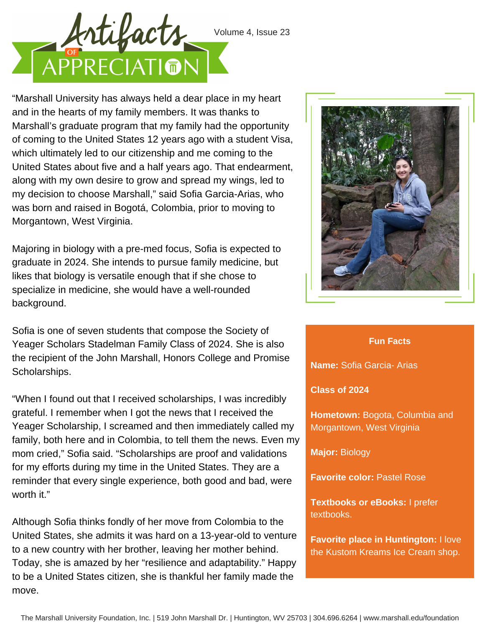

"Marshall University has always held a dear place in my heart and in the hearts of my family members. It was thanks to Marshall's graduate program that my family had the opportunity of coming to the United States 12 years ago with a student Visa, which ultimately led to our citizenship and me coming to the United States about five and a half years ago. That endearment, along with my own desire to grow and spread my wings, led to my decision to choose Marshall," said Sofia Garcia-Arias, who was born and raised in Bogotá, Colombia, prior to moving to Morgantown, West Virginia.

Majoring in biology with a pre-med focus, Sofia is expected to graduate in 2024. She intends to pursue family medicine, but likes that biology is versatile enough that if she chose to specialize in medicine, she would have a well-rounded background.

Sofia is one of seven students that compose the Society of Yeager Scholars Stadelman Family Class of 2024. She is also the recipient of the John Marshall, Honors College and Promise Scholarships.

"When I found out that I received scholarships, I was incredibly grateful. I remember when I got the news that I received the Yeager Scholarship, I screamed and then immediately called my family, both here and in Colombia, to tell them the news. Even my mom cried," Sofia said. "Scholarships are proof and validations for my efforts during my time in the United States. They are a reminder that every single experience, both good and bad, were worth it."

Although Sofia thinks fondly of her move from Colombia to the United States, she admits it was hard on a 13-year-old to venture to a new country with her brother, leaving her mother behind. Today, she is amazed by her "resilience and adaptability." Happy to be a United States citizen, she is thankful her family made the move.



## **Fun Facts**

**Name:** Sofia Garcia- Arias

## **Class of 2024**

**Hometown:** Bogota, Columbia and Morgantown, West Virginia

**Major:** Biology

**Favorite color:** Pastel Rose

**Textbooks or eBooks:** I prefer textbooks.

**Favorite place in Huntington:** I love the Kustom Kreams Ice Cream shop.